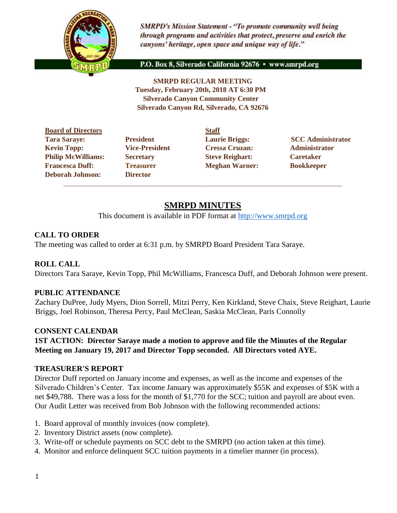

**SMRPD's Mission Statement - "To promote community well being** through programs and activities that protect, preserve and enrich the canyons' heritage, open space and unique way of life."

P.O. Box 8, Silverado California 92676 · www.smrpd.org

**SMRPD REGULAR MEETING Tuesday, February 20th, 2018 AT 6:30 PM Silverado Canyon Community Center Silverado Canyon Rd, Silverado, CA 92676** 

**Board of Directors Staff Tara Saraye: President Laurie Briggs: SCC Administrator Kevin Topp: Vice-President Cressa Cruzan: Administrator Philip McWilliams: Secretary Steve Reighart: Caretaker Francesca Duff:** Treasurer **Meghan Warner:** Bookkeeper **Deborah Johnson: Director**

 $\_$  ,  $\_$  ,  $\_$  ,  $\_$  ,  $\_$  ,  $\_$  ,  $\_$  ,  $\_$  ,  $\_$  ,  $\_$  ,  $\_$  ,  $\_$  ,  $\_$  ,  $\_$  ,  $\_$  ,  $\_$  ,  $\_$  ,  $\_$  ,  $\_$  ,  $\_$  ,  $\_$  ,  $\_$  ,  $\_$  ,  $\_$  ,  $\_$  ,  $\_$  ,  $\_$  ,  $\_$  ,  $\_$  ,  $\_$  ,  $\_$  ,  $\_$  ,  $\_$  ,  $\_$  ,  $\_$  ,  $\_$  ,  $\_$  ,

# **SMRPD MINUTES**

This document is available in PDF format at [http://www.smrpd.org](http://www.smrpd.org/)

### **CALL TO ORDER**

The meeting was called to order at 6:31 p.m. by SMRPD Board President Tara Saraye.

### **ROLL CALL**

Directors Tara Saraye, Kevin Topp, Phil McWilliams, Francesca Duff, and Deborah Johnson were present.

#### **PUBLIC ATTENDANCE**

Zachary DuPree, Judy Myers, Dion Sorrell, Mitzi Perry, Ken Kirkland, Steve Chaix, Steve Reighart, Laurie Briggs, Joel Robinson, Theresa Percy, Paul McClean, Saskia McClean, Paris Connolly

### **CONSENT CALENDAR**

**1ST ACTION: Director Saraye made a motion to approve and file the Minutes of the Regular Meeting on January 19, 2017 and Director Topp seconded. All Directors voted AYE.**

#### **TREASURER'S REPORT**

Director Duff reported on January income and expenses, as well as the income and expenses of the Silverado Children's Center. Tax income January was approximately \$55K and expenses of \$5K with a net \$49,788. There was a loss for the month of \$1,770 for the SCC; tuition and payroll are about even. Our Audit Letter was received from Bob Johnson with the following recommended actions:

- 1. Board approval of monthly invoices (now complete).
- 2. Inventory District assets (now complete).
- 3. Write-off or schedule payments on SCC debt to the SMRPD (no action taken at this time).
- 4. Monitor and enforce delinquent SCC tuition payments in a timelier manner (in process).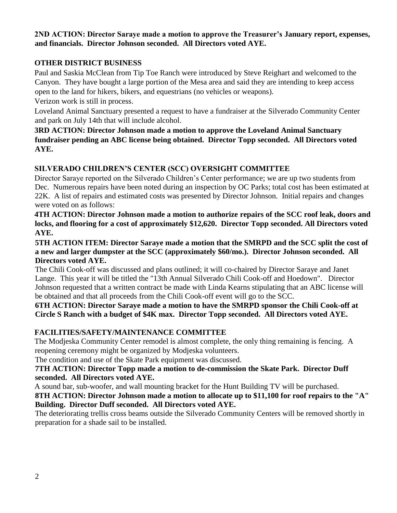### **2ND ACTION: Director Saraye made a motion to approve the Treasurer's January report, expenses, and financials. Director Johnson seconded. All Directors voted AYE.**

## **OTHER DISTRICT BUSINESS**

Paul and Saskia McClean from Tip Toe Ranch were introduced by Steve Reighart and welcomed to the Canyon. They have bought a large portion of the Mesa area and said they are intending to keep access open to the land for hikers, bikers, and equestrians (no vehicles or weapons).

Verizon work is still in process.

Loveland Animal Sanctuary presented a request to have a fundraiser at the Silverado Community Center and park on July 14th that will include alcohol.

**3RD ACTION: Director Johnson made a motion to approve the Loveland Animal Sanctuary fundraiser pending an ABC license being obtained. Director Topp seconded. All Directors voted AYE.**

# **SILVERADO CHILDREN'S CENTER (SCC) OVERSIGHT COMMITTEE**

Director Saraye reported on the Silverado Children's Center performance; we are up two students from Dec. Numerous repairs have been noted during an inspection by OC Parks; total cost has been estimated at 22K. A list of repairs and estimated costs was presented by Director Johnson. Initial repairs and changes were voted on as follows:

**4TH ACTION: Director Johnson made a motion to authorize repairs of the SCC roof leak, doors and locks, and flooring for a cost of approximately \$12,620. Director Topp seconded. All Directors voted AYE.**

**5TH ACTION ITEM: Director Saraye made a motion that the SMRPD and the SCC split the cost of a new and larger dumpster at the SCC (approximately \$60/mo.). Director Johnson seconded. All Directors voted AYE.**

The Chili Cook-off was discussed and plans outlined; it will co-chaired by Director Saraye and Janet Lange. This year it will be titled the "13th Annual Silverado Chili Cook-off and Hoedown". Director Johnson requested that a written contract be made with Linda Kearns stipulating that an ABC license will be obtained and that all proceeds from the Chili Cook-off event will go to the SCC.

**6TH ACTION: Director Saraye made a motion to have the SMRPD sponsor the Chili Cook-off at Circle S Ranch with a budget of \$4K max. Director Topp seconded. All Directors voted AYE.**

## **FACILITIES/SAFETY/MAINTENANCE COMMITTEE**

The Modjeska Community Center remodel is almost complete, the only thing remaining is fencing. A reopening ceremony might be organized by Modjeska volunteers.

The condition and use of the Skate Park equipment was discussed.

### **7TH ACTION: Director Topp made a motion to de-commission the Skate Park. Director Duff seconded. All Directors voted AYE.**

A sound bar, sub-woofer, and wall mounting bracket for the Hunt Building TV will be purchased.

**8TH ACTION: Director Johnson made a motion to allocate up to \$11,100 for roof repairs to the "A" Building. Director Duff seconded. All Directors voted AYE.**

The deteriorating trellis cross beams outside the Silverado Community Centers will be removed shortly in preparation for a shade sail to be installed.